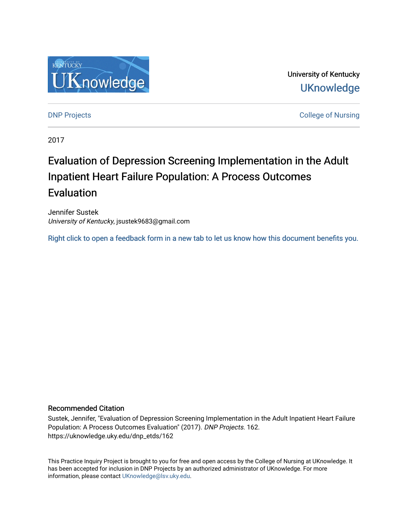

University of Kentucky **UKnowledge** 

[DNP Projects](https://uknowledge.uky.edu/dnp_etds) **College of Nursing** 

2017

# Evaluation of Depression Screening Implementation in the Adult Inpatient Heart Failure Population: A Process Outcomes Evaluation

Jennifer Sustek University of Kentucky, jsustek9683@gmail.com

[Right click to open a feedback form in a new tab to let us know how this document benefits you.](https://uky.az1.qualtrics.com/jfe/form/SV_9mq8fx2GnONRfz7)

#### Recommended Citation

Sustek, Jennifer, "Evaluation of Depression Screening Implementation in the Adult Inpatient Heart Failure Population: A Process Outcomes Evaluation" (2017). DNP Projects. 162. https://uknowledge.uky.edu/dnp\_etds/162

This Practice Inquiry Project is brought to you for free and open access by the College of Nursing at UKnowledge. It has been accepted for inclusion in DNP Projects by an authorized administrator of UKnowledge. For more information, please contact [UKnowledge@lsv.uky.edu](mailto:UKnowledge@lsv.uky.edu).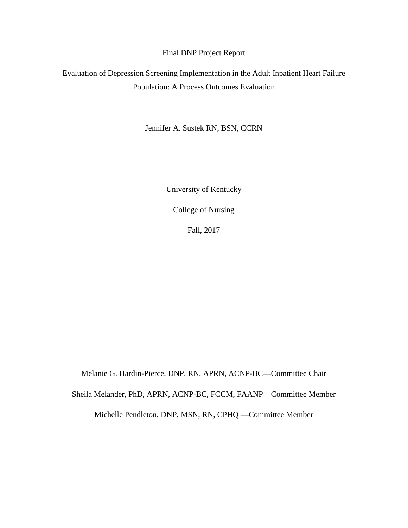Final DNP Project Report

Evaluation of Depression Screening Implementation in the Adult Inpatient Heart Failure Population: A Process Outcomes Evaluation

Jennifer A. Sustek RN, BSN, CCRN

University of Kentucky

College of Nursing

Fall, 2017

Melanie G. Hardin-Pierce, DNP, RN, APRN, ACNP-BC—Committee Chair Sheila Melander, PhD, APRN, ACNP-BC, FCCM, FAANP—Committee Member Michelle Pendleton, DNP, MSN, RN, CPHQ —Committee Member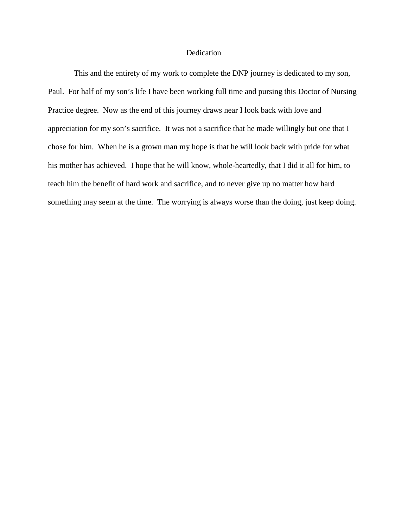#### Dedication

This and the entirety of my work to complete the DNP journey is dedicated to my son, Paul. For half of my son's life I have been working full time and pursing this Doctor of Nursing Practice degree. Now as the end of this journey draws near I look back with love and appreciation for my son's sacrifice. It was not a sacrifice that he made willingly but one that I chose for him. When he is a grown man my hope is that he will look back with pride for what his mother has achieved. I hope that he will know, whole-heartedly, that I did it all for him, to teach him the benefit of hard work and sacrifice, and to never give up no matter how hard something may seem at the time. The worrying is always worse than the doing, just keep doing.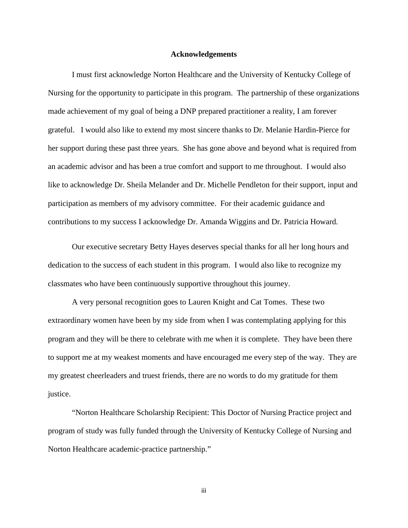#### **Acknowledgements**

<span id="page-3-0"></span>I must first acknowledge Norton Healthcare and the University of Kentucky College of Nursing for the opportunity to participate in this program. The partnership of these organizations made achievement of my goal of being a DNP prepared practitioner a reality, I am forever grateful. I would also like to extend my most sincere thanks to Dr. Melanie Hardin-Pierce for her support during these past three years. She has gone above and beyond what is required from an academic advisor and has been a true comfort and support to me throughout. I would also like to acknowledge Dr. Sheila Melander and Dr. Michelle Pendleton for their support, input and participation as members of my advisory committee. For their academic guidance and contributions to my success I acknowledge Dr. Amanda Wiggins and Dr. Patricia Howard.

Our executive secretary Betty Hayes deserves special thanks for all her long hours and dedication to the success of each student in this program. I would also like to recognize my classmates who have been continuously supportive throughout this journey.

A very personal recognition goes to Lauren Knight and Cat Tomes. These two extraordinary women have been by my side from when I was contemplating applying for this program and they will be there to celebrate with me when it is complete. They have been there to support me at my weakest moments and have encouraged me every step of the way. They are my greatest cheerleaders and truest friends, there are no words to do my gratitude for them justice.

"Norton Healthcare Scholarship Recipient: This Doctor of Nursing Practice project and program of study was fully funded through the University of Kentucky College of Nursing and Norton Healthcare academic-practice partnership."

iii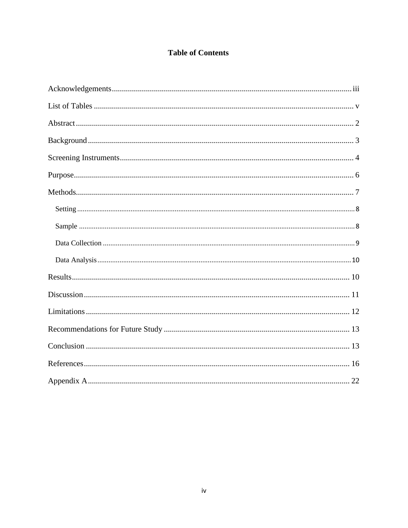# **Table of Contents**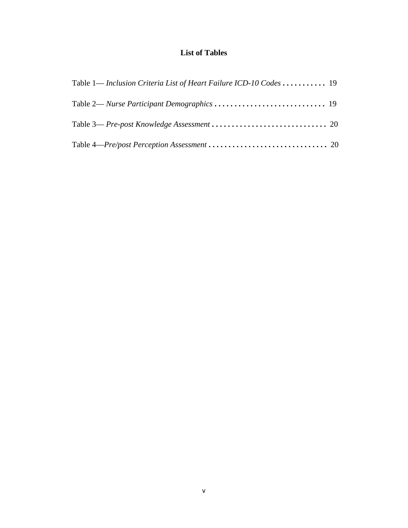# **List of Tables**

<span id="page-5-0"></span>

| Table 1— Inclusion Criteria List of Heart Failure ICD-10 Codes 19 |  |
|-------------------------------------------------------------------|--|
|                                                                   |  |
|                                                                   |  |
|                                                                   |  |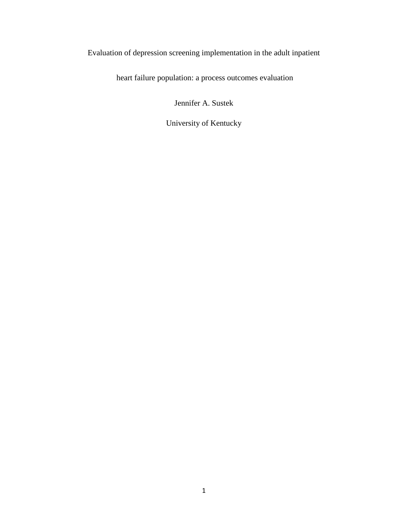# Evaluation of depression screening implementation in the adult inpatient

heart failure population: a process outcomes evaluation

Jennifer A. Sustek

University of Kentucky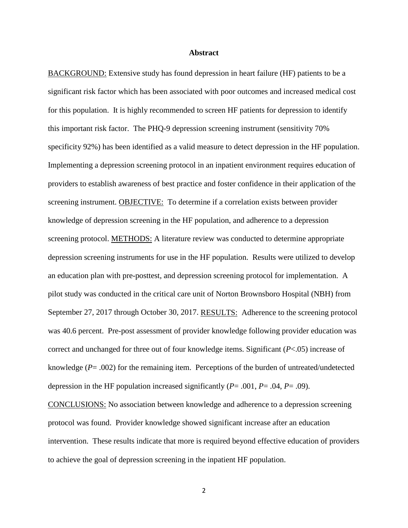#### **Abstract**

<span id="page-7-0"></span>BACKGROUND: Extensive study has found depression in heart failure (HF) patients to be a significant risk factor which has been associated with poor outcomes and increased medical cost for this population. It is highly recommended to screen HF patients for depression to identify this important risk factor. The PHQ-9 depression screening instrument (sensitivity 70% specificity 92%) has been identified as a valid measure to detect depression in the HF population. Implementing a depression screening protocol in an inpatient environment requires education of providers to establish awareness of best practice and foster confidence in their application of the screening instrument. OBJECTIVE: To determine if a correlation exists between provider knowledge of depression screening in the HF population, and adherence to a depression screening protocol. METHODS: A literature review was conducted to determine appropriate depression screening instruments for use in the HF population. Results were utilized to develop an education plan with pre-posttest, and depression screening protocol for implementation. A pilot study was conducted in the critical care unit of Norton Brownsboro Hospital (NBH) from September 27, 2017 through October 30, 2017. RESULTS: Adherence to the screening protocol was 40.6 percent. Pre-post assessment of provider knowledge following provider education was correct and unchanged for three out of four knowledge items. Significant (*P*<.05) increase of knowledge (*P*= .002) for the remaining item. Perceptions of the burden of untreated/undetected depression in the HF population increased significantly (*P*= .001, *P*= .04, *P*= .09). CONCLUSIONS: No association between knowledge and adherence to a depression screening

protocol was found. Provider knowledge showed significant increase after an education intervention. These results indicate that more is required beyond effective education of providers to achieve the goal of depression screening in the inpatient HF population.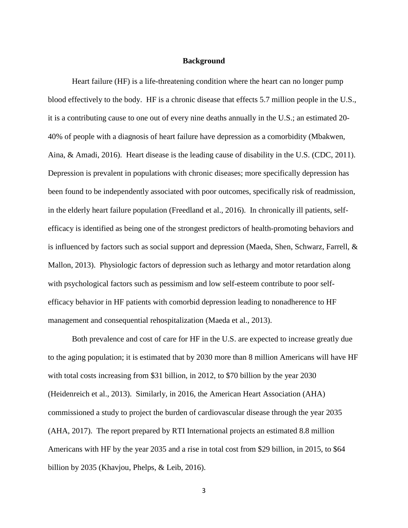#### **Background**

<span id="page-8-0"></span>Heart failure (HF) is a life-threatening condition where the heart can no longer pump blood effectively to the body. HF is a chronic disease that effects 5.7 million people in the U.S., it is a contributing cause to one out of every nine deaths annually in the U.S.; an estimated 20- 40% of people with a diagnosis of heart failure have depression as a comorbidity (Mbakwen, Aina, & Amadi, 2016). Heart disease is the leading cause of disability in the U.S. (CDC, 2011). Depression is prevalent in populations with chronic diseases; more specifically depression has been found to be independently associated with poor outcomes, specifically risk of readmission, in the elderly heart failure population (Freedland et al., 2016). In chronically ill patients, selfefficacy is identified as being one of the strongest predictors of health-promoting behaviors and is influenced by factors such as social support and depression (Maeda, Shen, Schwarz, Farrell,  $\&$ Mallon, 2013). Physiologic factors of depression such as lethargy and motor retardation along with psychological factors such as pessimism and low self-esteem contribute to poor selfefficacy behavior in HF patients with comorbid depression leading to nonadherence to HF management and consequential rehospitalization (Maeda et al., 2013).

Both prevalence and cost of care for HF in the U.S. are expected to increase greatly due to the aging population; it is estimated that by 2030 more than 8 million Americans will have HF with total costs increasing from \$31 billion, in 2012, to \$70 billion by the year 2030 (Heidenreich et al., 2013). Similarly, in 2016, the American Heart Association (AHA) commissioned a study to project the burden of cardiovascular disease through the year 2035 (AHA, 2017). The report prepared by RTI International projects an estimated 8.8 million Americans with HF by the year 2035 and a rise in total cost from \$29 billion, in 2015, to \$64 billion by 2035 (Khavjou, Phelps, & Leib, 2016).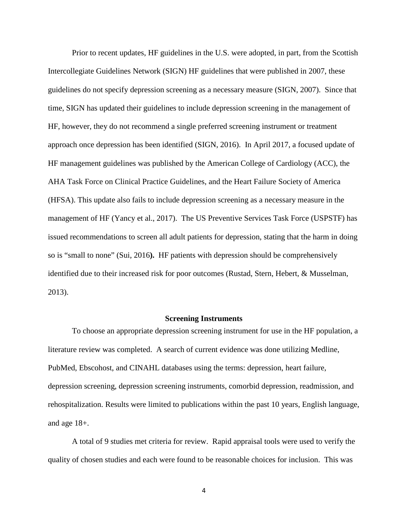Prior to recent updates, HF guidelines in the U.S. were adopted, in part, from the Scottish Intercollegiate Guidelines Network (SIGN) HF guidelines that were published in 2007, these guidelines do not specify depression screening as a necessary measure (SIGN, 2007). Since that time, SIGN has updated their guidelines to include depression screening in the management of HF, however, they do not recommend a single preferred screening instrument or treatment approach once depression has been identified (SIGN, 2016). In April 2017, a focused update of HF management guidelines was published by the American College of Cardiology (ACC), the AHA Task Force on Clinical Practice Guidelines, and the Heart Failure Society of America (HFSA). This update also fails to include depression screening as a necessary measure in the management of HF (Yancy et al., 2017). The US Preventive Services Task Force (USPSTF) has issued recommendations to screen all adult patients for depression, stating that the harm in doing so is "small to none" (Sui, 2016**).** HF patients with depression should be comprehensively identified due to their increased risk for poor outcomes (Rustad, Stern, Hebert, & Musselman, 2013).

#### **Screening Instruments**

<span id="page-9-0"></span>To choose an appropriate depression screening instrument for use in the HF population, a literature review was completed. A search of current evidence was done utilizing Medline, PubMed, Ebscohost, and CINAHL databases using the terms: depression, heart failure, depression screening, depression screening instruments, comorbid depression, readmission, and rehospitalization. Results were limited to publications within the past 10 years, English language, and age 18+.

A total of 9 studies met criteria for review. Rapid appraisal tools were used to verify the quality of chosen studies and each were found to be reasonable choices for inclusion. This was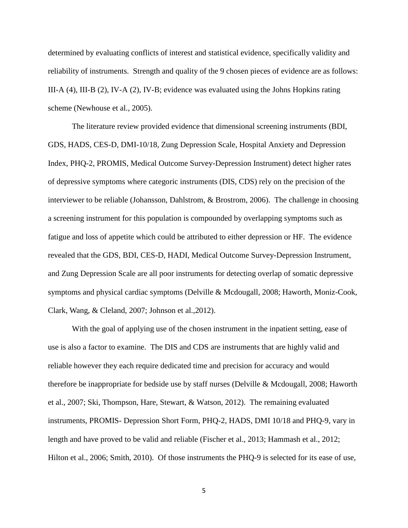determined by evaluating conflicts of interest and statistical evidence, specifically validity and reliability of instruments. Strength and quality of the 9 chosen pieces of evidence are as follows: III-A (4), III-B (2), IV-A (2), IV-B; evidence was evaluated using the Johns Hopkins rating scheme (Newhouse et al., 2005).

The literature review provided evidence that dimensional screening instruments (BDI, GDS, HADS, CES-D, DMI-10/18, Zung Depression Scale, Hospital Anxiety and Depression Index, PHQ-2, PROMIS, Medical Outcome Survey-Depression Instrument) detect higher rates of depressive symptoms where categoric instruments (DIS, CDS) rely on the precision of the interviewer to be reliable (Johansson, Dahlstrom, & Brostrom, 2006). The challenge in choosing a screening instrument for this population is compounded by overlapping symptoms such as fatigue and loss of appetite which could be attributed to either depression or HF. The evidence revealed that the GDS, BDI, CES-D, HADI, Medical Outcome Survey-Depression Instrument, and Zung Depression Scale are all poor instruments for detecting overlap of somatic depressive symptoms and physical cardiac symptoms (Delville & Mcdougall, 2008; Haworth, Moniz-Cook, Clark, Wang, & Cleland, 2007; Johnson et al.,2012).

With the goal of applying use of the chosen instrument in the inpatient setting, ease of use is also a factor to examine. The DIS and CDS are instruments that are highly valid and reliable however they each require dedicated time and precision for accuracy and would therefore be inappropriate for bedside use by staff nurses (Delville & Mcdougall, 2008; Haworth et al., 2007; Ski, Thompson, Hare, Stewart, & Watson, 2012). The remaining evaluated instruments, PROMIS- Depression Short Form, PHQ-2, HADS, DMI 10/18 and PHQ-9, vary in length and have proved to be valid and reliable (Fischer et al., 2013; Hammash et al., 2012; Hilton et al., 2006; Smith, 2010). Of those instruments the PHQ-9 is selected for its ease of use,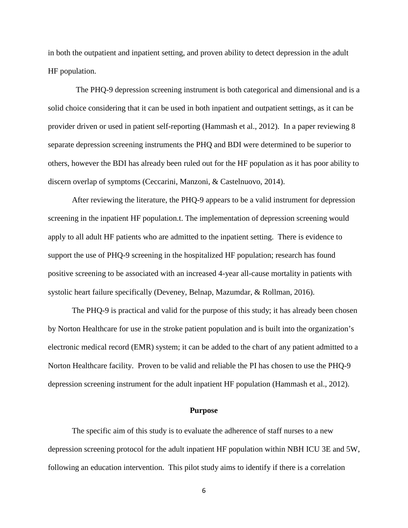in both the outpatient and inpatient setting, and proven ability to detect depression in the adult HF population.

 The PHQ-9 depression screening instrument is both categorical and dimensional and is a solid choice considering that it can be used in both inpatient and outpatient settings, as it can be provider driven or used in patient self-reporting (Hammash et al., 2012). In a paper reviewing 8 separate depression screening instruments the PHQ and BDI were determined to be superior to others, however the BDI has already been ruled out for the HF population as it has poor ability to discern overlap of symptoms (Ceccarini, Manzoni, & Castelnuovo, 2014).

After reviewing the literature, the PHQ-9 appears to be a valid instrument for depression screening in the inpatient HF population.t. The implementation of depression screening would apply to all adult HF patients who are admitted to the inpatient setting. There is evidence to support the use of PHQ-9 screening in the hospitalized HF population; research has found positive screening to be associated with an increased 4-year all-cause mortality in patients with systolic heart failure specifically (Deveney, Belnap, Mazumdar, & Rollman, 2016).

The PHQ-9 is practical and valid for the purpose of this study; it has already been chosen by Norton Healthcare for use in the stroke patient population and is built into the organization's electronic medical record (EMR) system; it can be added to the chart of any patient admitted to a Norton Healthcare facility. Proven to be valid and reliable the PI has chosen to use the PHQ-9 depression screening instrument for the adult inpatient HF population (Hammash et al., 2012).

#### **Purpose**

<span id="page-11-0"></span>The specific aim of this study is to evaluate the adherence of staff nurses to a new depression screening protocol for the adult inpatient HF population within NBH ICU 3E and 5W, following an education intervention. This pilot study aims to identify if there is a correlation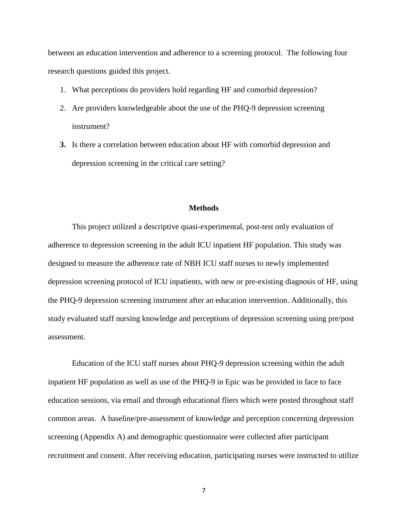between an education intervention and adherence to a screening protocol. The following four research questions guided this project.

- 1. What perceptions do providers hold regarding HF and comorbid depression?
- 2. Are providers knowledgeable about the use of the PHQ-9 depression screening instrument?
- **3.** Is there a correlation between education about HF with comorbid depression and depression screening in the critical care setting?

#### **Methods**

<span id="page-12-0"></span>This project utilized a descriptive quasi-experimental, post-test only evaluation of adherence to depression screening in the adult ICU inpatient HF population. This study was designed to measure the adherence rate of NBH ICU staff nurses to newly implemented depression screening protocol of ICU inpatients, with new or pre-existing diagnosis of HF, using the PHQ-9 depression screening instrument after an education intervention. Additionally, this study evaluated staff nursing knowledge and perceptions of depression screening using pre/post assessment.

Education of the ICU staff nurses about PHQ-9 depression screening within the adult inpatient HF population as well as use of the PHQ-9 in Epic was be provided in face to face education sessions, via email and through educational fliers which were posted throughout staff common areas. A baseline/pre-assessment of knowledge and perception concerning depression screening (Appendix A) and demographic questionnaire were collected after participant recruitment and consent. After receiving education, participating nurses were instructed to utilize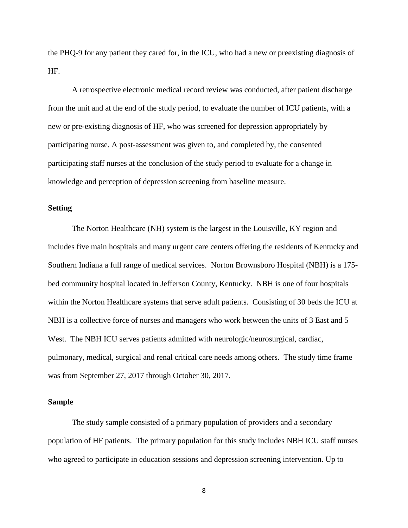the PHQ-9 for any patient they cared for, in the ICU, who had a new or preexisting diagnosis of HF.

A retrospective electronic medical record review was conducted, after patient discharge from the unit and at the end of the study period, to evaluate the number of ICU patients, with a new or pre-existing diagnosis of HF, who was screened for depression appropriately by participating nurse. A post-assessment was given to, and completed by, the consented participating staff nurses at the conclusion of the study period to evaluate for a change in knowledge and perception of depression screening from baseline measure.

#### <span id="page-13-0"></span>**Setting**

The Norton Healthcare (NH) system is the largest in the Louisville, KY region and includes five main hospitals and many urgent care centers offering the residents of Kentucky and Southern Indiana a full range of medical services. Norton Brownsboro Hospital (NBH) is a 175 bed community hospital located in Jefferson County, Kentucky. NBH is one of four hospitals within the Norton Healthcare systems that serve adult patients. Consisting of 30 beds the ICU at NBH is a collective force of nurses and managers who work between the units of 3 East and 5 West. The NBH ICU serves patients admitted with neurologic/neurosurgical, cardiac, pulmonary, medical, surgical and renal critical care needs among others. The study time frame was from September 27, 2017 through October 30, 2017.

#### <span id="page-13-1"></span>**Sample**

The study sample consisted of a primary population of providers and a secondary population of HF patients. The primary population for this study includes NBH ICU staff nurses who agreed to participate in education sessions and depression screening intervention. Up to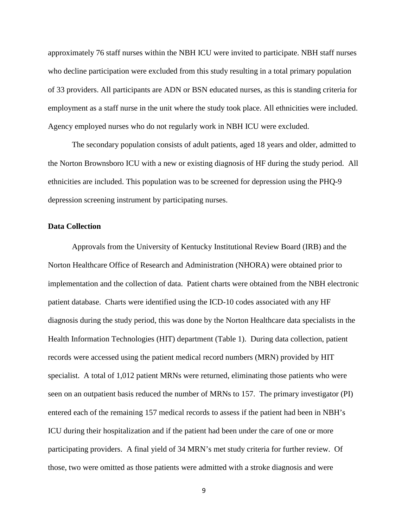approximately 76 staff nurses within the NBH ICU were invited to participate. NBH staff nurses who decline participation were excluded from this study resulting in a total primary population of 33 providers. All participants are ADN or BSN educated nurses, as this is standing criteria for employment as a staff nurse in the unit where the study took place. All ethnicities were included. Agency employed nurses who do not regularly work in NBH ICU were excluded.

The secondary population consists of adult patients, aged 18 years and older, admitted to the Norton Brownsboro ICU with a new or existing diagnosis of HF during the study period. All ethnicities are included. This population was to be screened for depression using the PHQ-9 depression screening instrument by participating nurses.

#### <span id="page-14-0"></span>**Data Collection**

Approvals from the University of Kentucky Institutional Review Board (IRB) and the Norton Healthcare Office of Research and Administration (NHORA) were obtained prior to implementation and the collection of data. Patient charts were obtained from the NBH electronic patient database. Charts were identified using the ICD-10 codes associated with any HF diagnosis during the study period, this was done by the Norton Healthcare data specialists in the Health Information Technologies (HIT) department (Table 1). During data collection, patient records were accessed using the patient medical record numbers (MRN) provided by HIT specialist. A total of 1,012 patient MRNs were returned, eliminating those patients who were seen on an outpatient basis reduced the number of MRNs to 157. The primary investigator (PI) entered each of the remaining 157 medical records to assess if the patient had been in NBH's ICU during their hospitalization and if the patient had been under the care of one or more participating providers. A final yield of 34 MRN's met study criteria for further review. Of those, two were omitted as those patients were admitted with a stroke diagnosis and were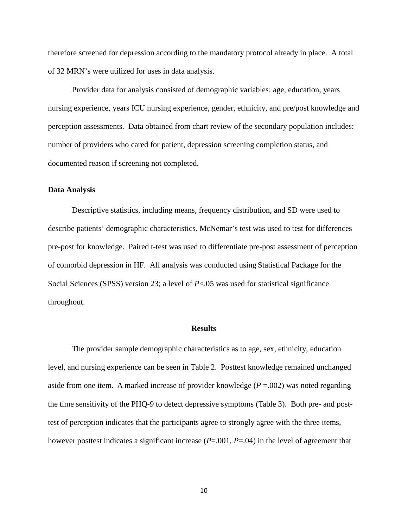therefore screened for depression according to the mandatory protocol already in place. A total of 32 MRN's were utilized for uses in data analysis.

Provider data for analysis consisted of demographic variables: age, education, years nursing experience, years ICU nursing experience, gender, ethnicity, and pre/post knowledge and perception assessments. Data obtained from chart review of the secondary population includes: number of providers who cared for patient, depression screening completion status, and documented reason if screening not completed.

#### <span id="page-15-0"></span>**Data Analysis**

Descriptive statistics, including means, frequency distribution, and SD were used to describe patients' demographic characteristics. McNemar's test was used to test for differences pre-post for knowledge. Paired t-test was used to differentiate pre-post assessment of perception of comorbid depression in HF. All analysis was conducted using Statistical Package for the Social Sciences (SPSS) version 23; a level of *P*<.05 was used for statistical significance throughout.

#### **Results**

<span id="page-15-1"></span>The provider sample demographic characteristics as to age, sex, ethnicity, education level, and nursing experience can be seen in Table 2. Posttest knowledge remained unchanged aside from one item. A marked increase of provider knowledge  $(P = .002)$  was noted regarding the time sensitivity of the PHQ-9 to detect depressive symptoms (Table 3). Both pre- and posttest of perception indicates that the participants agree to strongly agree with the three items, however posttest indicates a significant increase (*P*=.001, *P*=.04) in the level of agreement that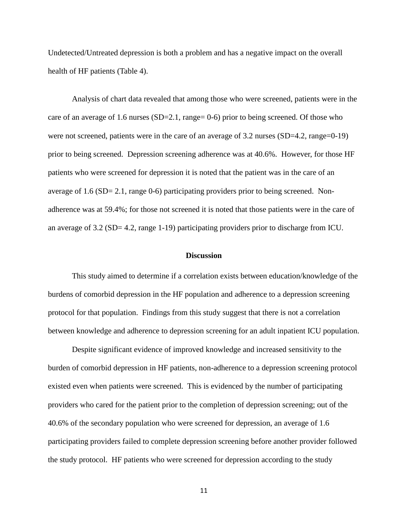Undetected/Untreated depression is both a problem and has a negative impact on the overall health of HF patients (Table 4).

Analysis of chart data revealed that among those who were screened, patients were in the care of an average of 1.6 nurses (SD=2.1, range= 0-6) prior to being screened. Of those who were not screened, patients were in the care of an average of 3.2 nurses (SD=4.2, range=0-19) prior to being screened. Depression screening adherence was at 40.6%. However, for those HF patients who were screened for depression it is noted that the patient was in the care of an average of 1.6 (SD= 2.1, range 0-6) participating providers prior to being screened. Nonadherence was at 59.4%; for those not screened it is noted that those patients were in the care of an average of 3.2 (SD= 4.2, range 1-19) participating providers prior to discharge from ICU.

#### **Discussion**

<span id="page-16-0"></span>This study aimed to determine if a correlation exists between education/knowledge of the burdens of comorbid depression in the HF population and adherence to a depression screening protocol for that population. Findings from this study suggest that there is not a correlation between knowledge and adherence to depression screening for an adult inpatient ICU population.

Despite significant evidence of improved knowledge and increased sensitivity to the burden of comorbid depression in HF patients, non-adherence to a depression screening protocol existed even when patients were screened. This is evidenced by the number of participating providers who cared for the patient prior to the completion of depression screening; out of the 40.6% of the secondary population who were screened for depression, an average of 1.6 participating providers failed to complete depression screening before another provider followed the study protocol. HF patients who were screened for depression according to the study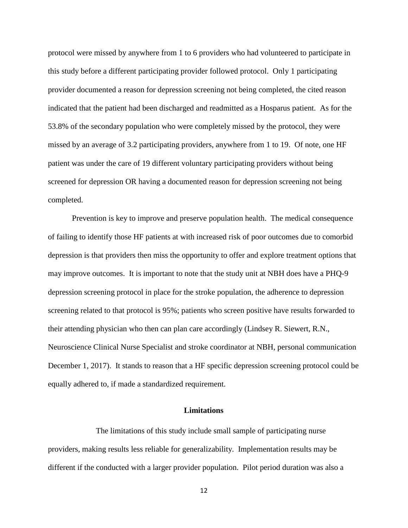protocol were missed by anywhere from 1 to 6 providers who had volunteered to participate in this study before a different participating provider followed protocol. Only 1 participating provider documented a reason for depression screening not being completed, the cited reason indicated that the patient had been discharged and readmitted as a Hosparus patient. As for the 53.8% of the secondary population who were completely missed by the protocol, they were missed by an average of 3.2 participating providers, anywhere from 1 to 19. Of note, one HF patient was under the care of 19 different voluntary participating providers without being screened for depression OR having a documented reason for depression screening not being completed.

Prevention is key to improve and preserve population health. The medical consequence of failing to identify those HF patients at with increased risk of poor outcomes due to comorbid depression is that providers then miss the opportunity to offer and explore treatment options that may improve outcomes. It is important to note that the study unit at NBH does have a PHQ-9 depression screening protocol in place for the stroke population, the adherence to depression screening related to that protocol is 95%; patients who screen positive have results forwarded to their attending physician who then can plan care accordingly (Lindsey R. Siewert, R.N., Neuroscience Clinical Nurse Specialist and stroke coordinator at NBH, personal communication December 1, 2017). It stands to reason that a HF specific depression screening protocol could be equally adhered to, if made a standardized requirement.

#### **Limitations**

<span id="page-17-0"></span>The limitations of this study include small sample of participating nurse providers, making results less reliable for generalizability. Implementation results may be different if the conducted with a larger provider population. Pilot period duration was also a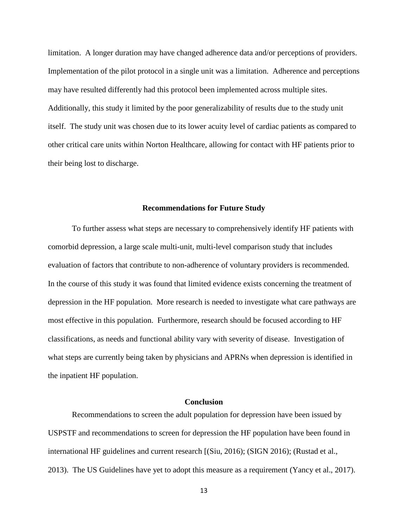limitation. A longer duration may have changed adherence data and/or perceptions of providers. Implementation of the pilot protocol in a single unit was a limitation. Adherence and perceptions may have resulted differently had this protocol been implemented across multiple sites. Additionally, this study it limited by the poor generalizability of results due to the study unit itself. The study unit was chosen due to its lower acuity level of cardiac patients as compared to other critical care units within Norton Healthcare, allowing for contact with HF patients prior to their being lost to discharge.

#### **Recommendations for Future Study**

<span id="page-18-0"></span>To further assess what steps are necessary to comprehensively identify HF patients with comorbid depression, a large scale multi-unit, multi-level comparison study that includes evaluation of factors that contribute to non-adherence of voluntary providers is recommended. In the course of this study it was found that limited evidence exists concerning the treatment of depression in the HF population. More research is needed to investigate what care pathways are most effective in this population. Furthermore, research should be focused according to HF classifications, as needs and functional ability vary with severity of disease. Investigation of what steps are currently being taken by physicians and APRNs when depression is identified in the inpatient HF population.

#### **Conclusion**

<span id="page-18-1"></span>Recommendations to screen the adult population for depression have been issued by USPSTF and recommendations to screen for depression the HF population have been found in international HF guidelines and current research [(Siu, 2016); (SIGN 2016); (Rustad et al., 2013). The US Guidelines have yet to adopt this measure as a requirement (Yancy et al., 2017).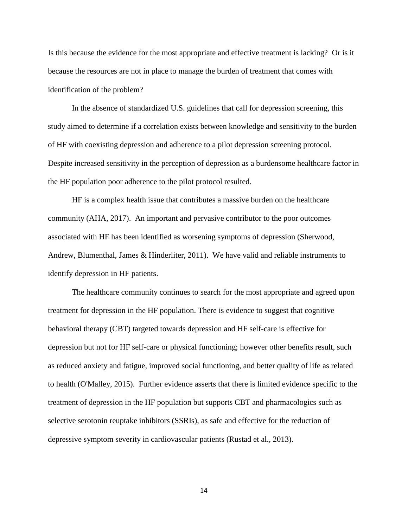Is this because the evidence for the most appropriate and effective treatment is lacking? Or is it because the resources are not in place to manage the burden of treatment that comes with identification of the problem?

In the absence of standardized U.S. guidelines that call for depression screening, this study aimed to determine if a correlation exists between knowledge and sensitivity to the burden of HF with coexisting depression and adherence to a pilot depression screening protocol. Despite increased sensitivity in the perception of depression as a burdensome healthcare factor in the HF population poor adherence to the pilot protocol resulted.

HF is a complex health issue that contributes a massive burden on the healthcare community (AHA, 2017). An important and pervasive contributor to the poor outcomes associated with HF has been identified as worsening symptoms of depression (Sherwood, Andrew, Blumenthal, James & Hinderliter, 2011). We have valid and reliable instruments to identify depression in HF patients.

The healthcare community continues to search for the most appropriate and agreed upon treatment for depression in the HF population. There is evidence to suggest that cognitive behavioral therapy (CBT) targeted towards depression and HF self-care is effective for depression but not for HF self-care or physical functioning; however other benefits result, such as reduced anxiety and fatigue, improved social functioning, and better quality of life as related to health (O'Malley, 2015). Further evidence asserts that there is limited evidence specific to the treatment of depression in the HF population but supports CBT and pharmacologics such as selective serotonin reuptake inhibitors (SSRIs), as safe and effective for the reduction of depressive symptom severity in cardiovascular patients (Rustad et al., 2013).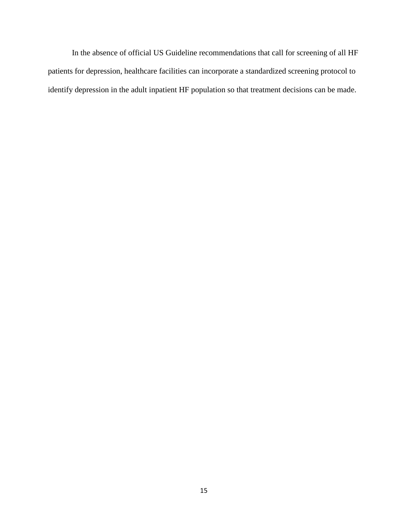In the absence of official US Guideline recommendations that call for screening of all HF patients for depression, healthcare facilities can incorporate a standardized screening protocol to identify depression in the adult inpatient HF population so that treatment decisions can be made.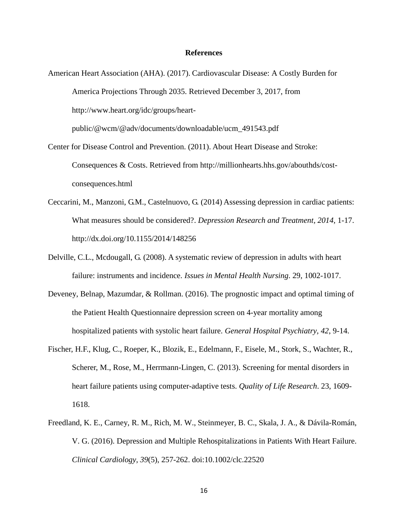#### **References**

- <span id="page-21-0"></span>American Heart Association (AHA). (2017). Cardiovascular Disease: A Costly Burden for America Projections Through 2035. Retrieved December 3, 2017, from http://www.heart.org/idc/groups/heartpublic/@wcm/@adv/documents/downloadable/ucm\_491543.pdf
- Center for Disease Control and Prevention. (2011). About Heart Disease and Stroke: Consequences & Costs. Retrieved from http://millionhearts.hhs.gov/abouthds/costconsequences.html
- Ceccarini, M., Manzoni, G.M., Castelnuovo, G. (2014) Assessing depression in cardiac patients: What measures should be considered?. *Depression Research and Treatment, 2014*, 1-17. http://dx.doi.org/10.1155/2014/148256
- Delville, C.L., Mcdougall, G. (2008). A systematic review of depression in adults with heart failure: instruments and incidence. *Issues in Mental Health Nursing*. 29, 1002-1017.
- Deveney, Belnap, Mazumdar, & Rollman. (2016). The prognostic impact and optimal timing of the Patient Health Questionnaire depression screen on 4-year mortality among hospitalized patients with systolic heart failure. *General Hospital Psychiatry, 42*, 9-14.
- Fischer, H.F., Klug, C., Roeper, K., Blozik, E., Edelmann, F., Eisele, M., Stork, S., Wachter, R., Scherer, M., Rose, M., Herrmann-Lingen, C. (2013). Screening for mental disorders in heart failure patients using computer-adaptive tests. *Quality of Life Research*. 23, 1609- 1618.
- Freedland, K. E., Carney, R. M., Rich, M. W., Steinmeyer, B. C., Skala, J. A., & Dávila-Román, V. G. (2016). Depression and Multiple Rehospitalizations in Patients With Heart Failure. *Clinical Cardiology*, *39*(5), 257-262. doi:10.1002/clc.22520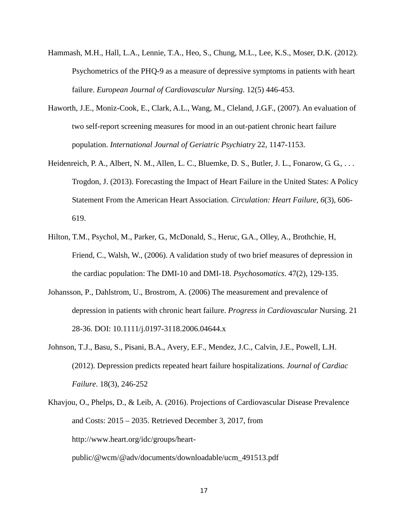- Hammash, M.H., Hall, L.A., Lennie, T.A., Heo, S., Chung, M.L., Lee, K.S., Moser, D.K. (2012). Psychometrics of the PHQ-9 as a measure of depressive symptoms in patients with heart failure. *European Journal of Cardiovascular Nursing*. 12(5) 446-453.
- Haworth, J.E., Moniz-Cook, E., Clark, A.L., Wang, M., Cleland, J.G.F., (2007). An evaluation of two self-report screening measures for mood in an out-patient chronic heart failure population. *International Journal of Geriatric Psychiatry* 22, 1147-1153.
- Heidenreich, P. A., Albert, N. M., Allen, L. C., Bluemke, D. S., Butler, J. L., Fonarow, G. G., . . . Trogdon, J. (2013). Forecasting the Impact of Heart Failure in the United States: A Policy Statement From the American Heart Association. *Circulation: Heart Failure, 6*(3), 606- 619.
- Hilton, T.M., Psychol, M., Parker, G., McDonald, S., Heruc, G.A., Olley, A., Brothchie, H, Friend, C., Walsh, W., (2006). A validation study of two brief measures of depression in the cardiac population: The DMI-10 and DMI-18. *Psychosomatics*. 47(2), 129-135.
- Johansson, P., Dahlstrom, U., Brostrom, A. (2006) The measurement and prevalence of depression in patients with chronic heart failure. *Progress in Cardiovascular* Nursing. 21 28-36. DOI: 10.1111/j.0197-3118.2006.04644.x
- Johnson, T.J., Basu, S., Pisani, B.A., Avery, E.F., Mendez, J.C., Calvin, J.E., Powell, L.H. (2012). Depression predicts repeated heart failure hospitalizations. *Journal of Cardiac Failure*. 18(3), 246-252
- Khavjou, O., Phelps, D., & Leib, A. (2016). Projections of Cardiovascular Disease Prevalence and Costs: 2015 – 2035. Retrieved December 3, 2017, from http://www.heart.org/idc/groups/heartpublic/@wcm/@adv/documents/downloadable/ucm\_491513.pdf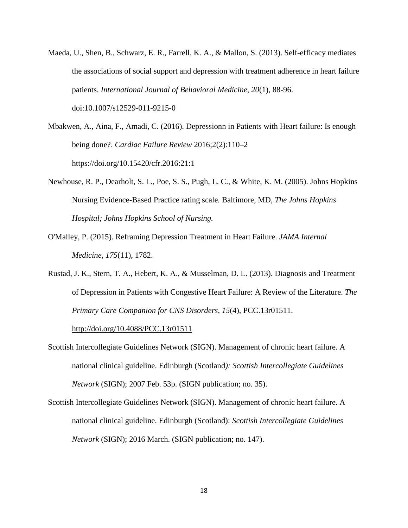- Maeda, U., Shen, B., Schwarz, E. R., Farrell, K. A., & Mallon, S. (2013). Self-efficacy mediates the associations of social support and depression with treatment adherence in heart failure patients. *International Journal of Behavioral Medicine*, *20*(1), 88-96. doi:10.1007/s12529-011-9215-0
- Mbakwen, A., Aina, F., Amadi, C. (2016). Depressionn in Patients with Heart failure: Is enough being done?. *Cardiac Failure Review* 2016;2(2):110–2 https://doi.org/10.15420/cfr.2016:21:1
- Newhouse, R. P., Dearholt, S. L., Poe, S. S., Pugh, L. C., & White, K. M. (2005). Johns Hopkins Nursing Evidence-Based Practice rating scale*.* Baltimore, MD*, The Johns Hopkins Hospital; Johns Hopkins School of Nursing.*
- O'Malley, P. (2015). Reframing Depression Treatment in Heart Failure. *JAMA Internal Medicine, 175*(11), 1782.
- Rustad, J. K., Stern, T. A., Hebert, K. A., & Musselman, D. L. (2013). Diagnosis and Treatment of Depression in Patients with Congestive Heart Failure: A Review of the Literature. *The Primary Care Companion for CNS Disorders*, *15*(4), PCC.13r01511.

<http://doi.org/10.4088/PCC.13r01511>

- Scottish Intercollegiate Guidelines Network (SIGN). Management of chronic heart failure. A national clinical guideline. Edinburgh (Scotland*): Scottish Intercollegiate Guidelines Network* (SIGN); 2007 Feb. 53p. (SIGN publication; no. 35).
- Scottish Intercollegiate Guidelines Network (SIGN). Management of chronic heart failure. A national clinical guideline. Edinburgh (Scotland): *Scottish Intercollegiate Guidelines Network* (SIGN); 2016 March. (SIGN publication; no. 147).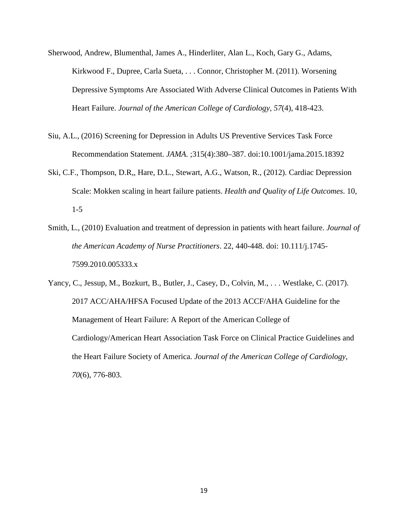- Sherwood, Andrew, Blumenthal, James A., Hinderliter, Alan L., Koch, Gary G., Adams, Kirkwood F., Dupree, Carla Sueta, . . . Connor, Christopher M. (2011). Worsening Depressive Symptoms Are Associated With Adverse Clinical Outcomes in Patients With Heart Failure. *Journal of the American College of Cardiology, 57*(4), 418-423.
- Siu, A.L., (2016) Screening for Depression in Adults US Preventive Services Task Force Recommendation Statement. *JAMA.* ;315(4):380–387. doi:10.1001/jama.2015.18392
- Ski, C.F., Thompson, D.R,, Hare, D.L., Stewart, A.G., Watson, R., (2012). Cardiac Depression Scale: Mokken scaling in heart failure patients. *Health and Quality of Life Outcomes*. 10, 1-5
- Smith, L., (2010) Evaluation and treatment of depression in patients with heart failure. *Journal of the American Academy of Nurse Practitioners*. 22, 440-448. doi: 10.111/j.1745- 7599.2010.005333.x

Yancy, C., Jessup, M., Bozkurt, B., Butler, J., Casey, D., Colvin, M., . . . Westlake, C. (2017). 2017 ACC/AHA/HFSA Focused Update of the 2013 ACCF/AHA Guideline for the Management of Heart Failure: A Report of the American College of Cardiology/American Heart Association Task Force on Clinical Practice Guidelines and the Heart Failure Society of America. *Journal of the American College of Cardiology, 70*(6), 776-803.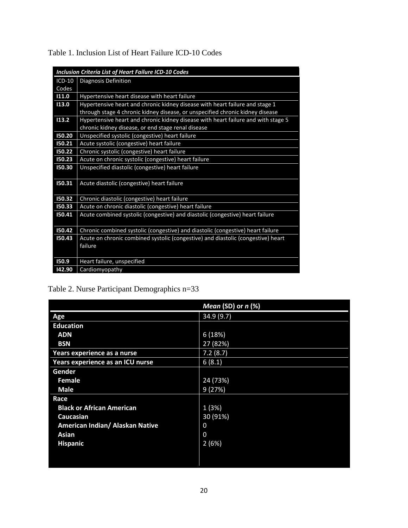| <b>Inclusion Criteria List of Heart Failure ICD-10 Codes</b> |                                                                                   |  |  |  |
|--------------------------------------------------------------|-----------------------------------------------------------------------------------|--|--|--|
| ICD-10                                                       | Diagnosis Definition                                                              |  |  |  |
| Codes                                                        |                                                                                   |  |  |  |
| 11.0                                                         | Hypertensive heart disease with heart failure                                     |  |  |  |
| 113.0                                                        | Hypertensive heart and chronic kidney disease with heart failure and stage 1      |  |  |  |
|                                                              | through stage 4 chronic kidney disease, or unspecified chronic kidney disease     |  |  |  |
| 13.2                                                         | Hypertensive heart and chronic kidney disease with heart failure and with stage 5 |  |  |  |
|                                                              | chronic kidney disease, or end stage renal disease                                |  |  |  |
| 150.20                                                       | Unspecified systolic (congestive) heart failure                                   |  |  |  |
| 150.21                                                       | Acute systolic (congestive) heart failure                                         |  |  |  |
| 150.22                                                       | Chronic systolic (congestive) heart failure                                       |  |  |  |
| 150.23                                                       | Acute on chronic systolic (congestive) heart failure                              |  |  |  |
| 150.30                                                       | Unspecified diastolic (congestive) heart failure                                  |  |  |  |
|                                                              |                                                                                   |  |  |  |
| 150.31                                                       | Acute diastolic (congestive) heart failure                                        |  |  |  |
|                                                              |                                                                                   |  |  |  |
| 150.32                                                       | Chronic diastolic (congestive) heart failure                                      |  |  |  |
| 150.33                                                       | Acute on chronic diastolic (congestive) heart failure                             |  |  |  |
| 150.41                                                       | Acute combined systolic (congestive) and diastolic (congestive) heart failure     |  |  |  |
|                                                              |                                                                                   |  |  |  |
| 150.42                                                       | Chronic combined systolic (congestive) and diastolic (congestive) heart failure   |  |  |  |
| 150.43                                                       | Acute on chronic combined systolic (congestive) and diastolic (congestive) heart  |  |  |  |
|                                                              | failure                                                                           |  |  |  |
|                                                              |                                                                                   |  |  |  |
| 150.9                                                        | Heart failure, unspecified                                                        |  |  |  |
| 142.90                                                       | Cardiomyopathy                                                                    |  |  |  |

Table 1. Inclusion List of Heart Failure ICD-10 Codes

# Table 2. Nurse Participant Demographics n=33

|                                  | Mean (SD) or $n$ (%) |
|----------------------------------|----------------------|
| Age                              | 34.9 (9.7)           |
| <b>Education</b>                 |                      |
| <b>ADN</b>                       | 6(18%)               |
| <b>BSN</b>                       | 27 (82%)             |
| Years experience as a nurse      | 7.2(8.7)             |
| Years experience as an ICU nurse | 6(8.1)               |
| Gender                           |                      |
| Female                           | 24 (73%)             |
| <b>Male</b>                      | 9(27%)               |
| Race                             |                      |
| <b>Black or African American</b> | 1(3%)                |
| <b>Caucasian</b>                 | 30 (91%)             |
| American Indian/ Alaskan Native  | 0                    |
| <b>Asian</b>                     | $\Omega$             |
| <b>Hispanic</b>                  | 2(6%)                |
|                                  |                      |
|                                  |                      |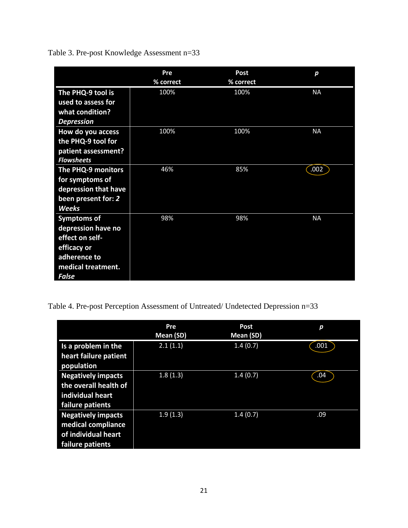Table 3. Pre-post Knowledge Assessment n=33

|                      | Pre<br>% correct | <b>Post</b><br>% correct | р         |
|----------------------|------------------|--------------------------|-----------|
| The PHQ-9 tool is    | 100%             | 100%                     | <b>NA</b> |
| used to assess for   |                  |                          |           |
| what condition?      |                  |                          |           |
| <b>Depression</b>    |                  |                          |           |
| How do you access    | 100%             | 100%                     | <b>NA</b> |
| the PHQ-9 tool for   |                  |                          |           |
| patient assessment?  |                  |                          |           |
| <b>Flowsheets</b>    |                  |                          |           |
| The PHQ-9 monitors   | 46%              | 85%                      | .002      |
| for symptoms of      |                  |                          |           |
| depression that have |                  |                          |           |
| been present for: 2  |                  |                          |           |
| <b>Weeks</b>         |                  |                          |           |
| <b>Symptoms of</b>   | 98%              | 98%                      | <b>NA</b> |
| depression have no   |                  |                          |           |
| effect on self-      |                  |                          |           |
| efficacy or          |                  |                          |           |
| adherence to         |                  |                          |           |
| medical treatment.   |                  |                          |           |
| <b>False</b>         |                  |                          |           |

Table 4. Pre-post Perception Assessment of Untreated/ Undetected Depression n=33

|                                                                                            | Pre<br>Mean (SD) | <b>Post</b><br>Mean (SD) | р    |
|--------------------------------------------------------------------------------------------|------------------|--------------------------|------|
| Is a problem in the<br>heart failure patient<br>population                                 | 2.1(1.1)         | 1.4(0.7)                 | .001 |
| <b>Negatively impacts</b><br>the overall health of<br>individual heart<br>failure patients | 1.8(1.3)         | 1.4(0.7)                 | .04  |
| <b>Negatively impacts</b><br>medical compliance<br>of individual heart<br>failure patients | 1.9(1.3)         | 1.4(0.7)                 | .09  |